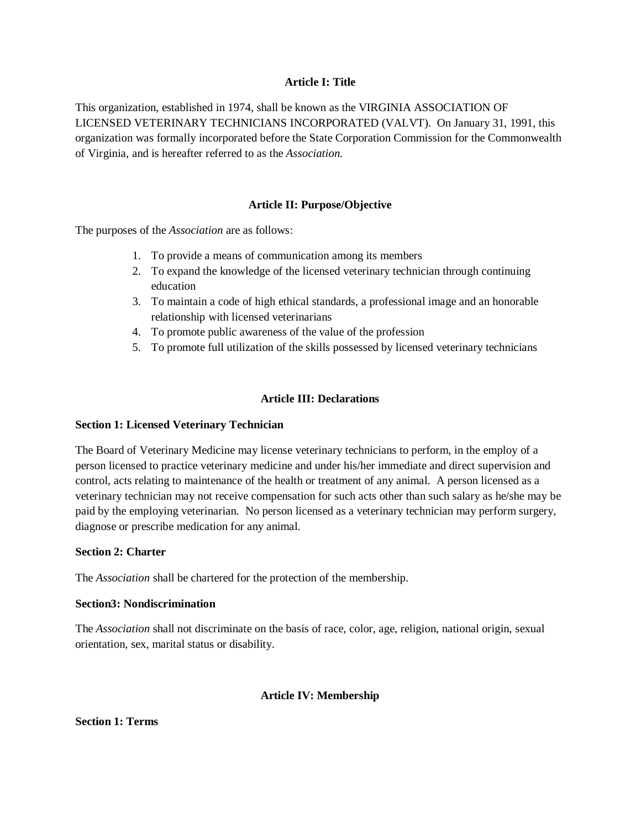### **Article I: Title**

This organization, established in 1974, shall be known as the VIRGINIA ASSOCIATION OF LICENSED VETERINARY TECHNICIANS INCORPORATED (VALVT). On January 31, 1991, this organization was formally incorporated before the State Corporation Commission for the Commonwealth of Virginia, and is hereafter referred to as the *Association.*

### **Article II: Purpose/Objective**

The purposes of the *Association* are as follows:

- 1. To provide a means of communication among its members
- 2. To expand the knowledge of the licensed veterinary technician through continuing education
- 3. To maintain a code of high ethical standards, a professional image and an honorable relationship with licensed veterinarians
- 4. To promote public awareness of the value of the profession
- 5. To promote full utilization of the skills possessed by licensed veterinary technicians

#### **Article III: Declarations**

#### **Section 1: Licensed Veterinary Technician**

The Board of Veterinary Medicine may license veterinary technicians to perform, in the employ of a person licensed to practice veterinary medicine and under his/her immediate and direct supervision and control, acts relating to maintenance of the health or treatment of any animal. A person licensed as a veterinary technician may not receive compensation for such acts other than such salary as he/she may be paid by the employing veterinarian. No person licensed as a veterinary technician may perform surgery, diagnose or prescribe medication for any animal.

#### **Section 2: Charter**

The *Association* shall be chartered for the protection of the membership.

#### **Section3: Nondiscrimination**

The *Association* shall not discriminate on the basis of race, color, age, religion, national origin, sexual orientation, sex, marital status or disability.

#### **Article IV: Membership**

**Section 1: Terms**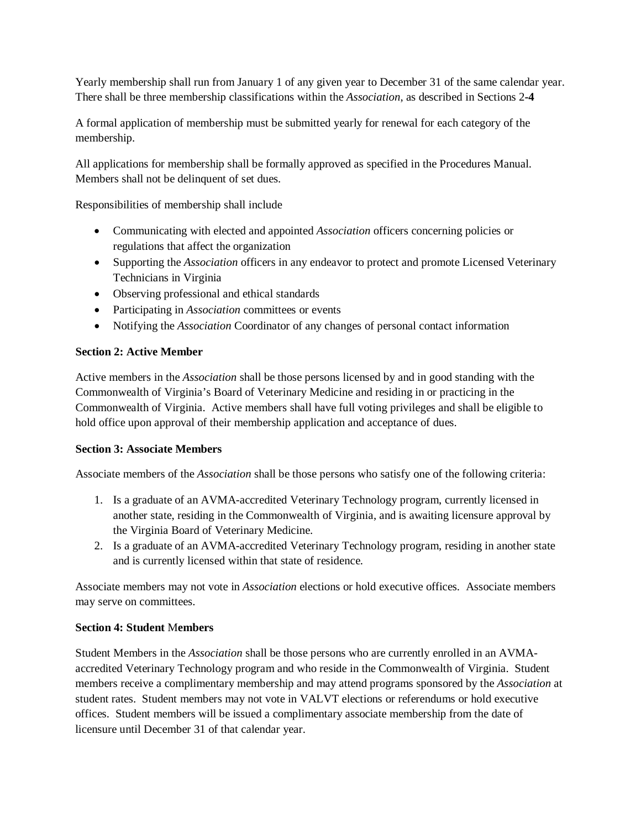Yearly membership shall run from January 1 of any given year to December 31 of the same calendar year. There shall be three membership classifications within the *Association*, as described in Sections 2**-4**

A formal application of membership must be submitted yearly for renewal for each category of the membership.

All applications for membership shall be formally approved as specified in the Procedures Manual. Members shall not be delinquent of set dues.

Responsibilities of membership shall include

- Communicating with elected and appointed *Association* officers concerning policies or regulations that affect the organization
- Supporting the *Association* officers in any endeavor to protect and promote Licensed Veterinary Technicians in Virginia
- Observing professional and ethical standards
- Participating in *Association* committees or events
- Notifying the *Association* Coordinator of any changes of personal contact information

# **Section 2: Active Member**

Active members in the *Association* shall be those persons licensed by and in good standing with the Commonwealth of Virginia's Board of Veterinary Medicine and residing in or practicing in the Commonwealth of Virginia. Active members shall have full voting privileges and shall be eligible to hold office upon approval of their membership application and acceptance of dues.

### **Section 3: Associate Members**

Associate members of the *Association* shall be those persons who satisfy one of the following criteria:

- 1. Is a graduate of an AVMA-accredited Veterinary Technology program, currently licensed in another state, residing in the Commonwealth of Virginia, and is awaiting licensure approval by the Virginia Board of Veterinary Medicine.
- 2. Is a graduate of an AVMA-accredited Veterinary Technology program, residing in another state and is currently licensed within that state of residence.

Associate members may not vote in *Association* elections or hold executive offices. Associate members may serve on committees.

### **Section 4: Student** M**embers**

Student Members in the *Association* shall be those persons who are currently enrolled in an AVMAaccredited Veterinary Technology program and who reside in the Commonwealth of Virginia. Student members receive a complimentary membership and may attend programs sponsored by the *Association* at student rates. Student members may not vote in VALVT elections or referendums or hold executive offices. Student members will be issued a complimentary associate membership from the date of licensure until December 31 of that calendar year.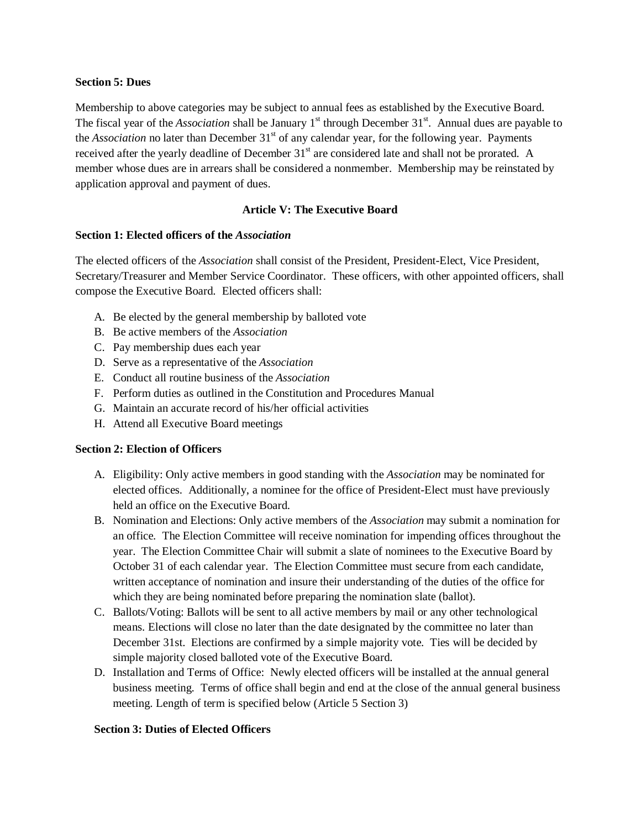#### **Section 5: Dues**

Membership to above categories may be subject to annual fees as established by the Executive Board. The fiscal year of the *Association* shall be January 1<sup>st</sup> through December 31<sup>st</sup>. Annual dues are payable to the *Association* no later than December 31<sup>st</sup> of any calendar year, for the following year. Payments received after the yearly deadline of December 31<sup>st</sup> are considered late and shall not be prorated. A member whose dues are in arrears shall be considered a nonmember. Membership may be reinstated by application approval and payment of dues.

# **Article V: The Executive Board**

### **Section 1: Elected officers of the** *Association*

The elected officers of the *Association* shall consist of the President, President-Elect, Vice President, Secretary/Treasurer and Member Service Coordinator. These officers, with other appointed officers, shall compose the Executive Board. Elected officers shall:

- A. Be elected by the general membership by balloted vote
- B. Be active members of the *Association*
- C. Pay membership dues each year
- D. Serve as a representative of the *Association*
- E. Conduct all routine business of the *Association*
- F. Perform duties as outlined in the Constitution and Procedures Manual
- G. Maintain an accurate record of his/her official activities
- H. Attend all Executive Board meetings

### **Section 2: Election of Officers**

- A. Eligibility: Only active members in good standing with the *Association* may be nominated for elected offices. Additionally, a nominee for the office of President-Elect must have previously held an office on the Executive Board.
- B. Nomination and Elections: Only active members of the *Association* may submit a nomination for an office. The Election Committee will receive nomination for impending offices throughout the year. The Election Committee Chair will submit a slate of nominees to the Executive Board by October 31 of each calendar year. The Election Committee must secure from each candidate, written acceptance of nomination and insure their understanding of the duties of the office for which they are being nominated before preparing the nomination slate (ballot).
- C. Ballots/Voting: Ballots will be sent to all active members by mail or any other technological means. Elections will close no later than the date designated by the committee no later than December 31st. Elections are confirmed by a simple majority vote. Ties will be decided by simple majority closed balloted vote of the Executive Board.
- D. Installation and Terms of Office: Newly elected officers will be installed at the annual general business meeting. Terms of office shall begin and end at the close of the annual general business meeting. Length of term is specified below (Article 5 Section 3)

### **Section 3: Duties of Elected Officers**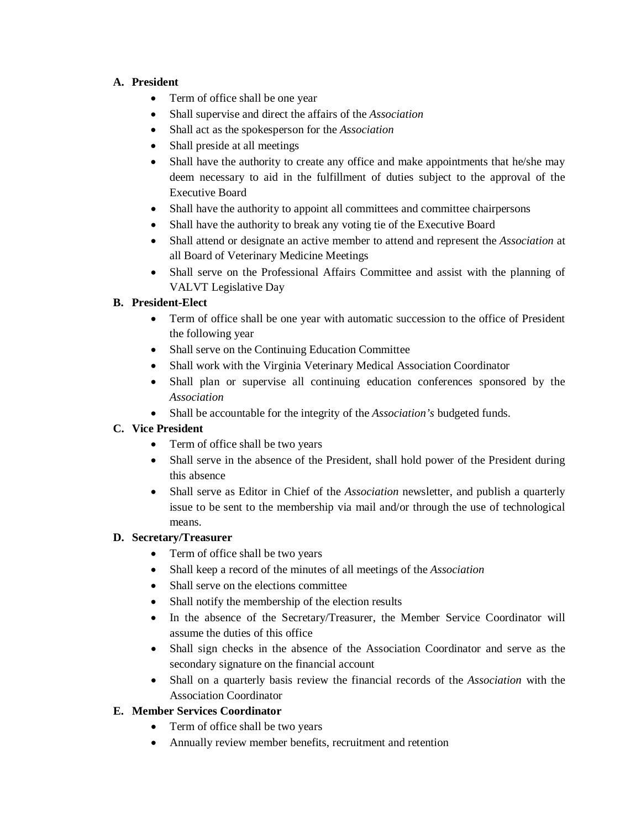# **A. President**

- Term of office shall be one year
- Shall supervise and direct the affairs of the *Association*
- Shall act as the spokesperson for the *Association*
- Shall preside at all meetings
- Shall have the authority to create any office and make appointments that he/she may deem necessary to aid in the fulfillment of duties subject to the approval of the Executive Board
- Shall have the authority to appoint all committees and committee chairpersons
- Shall have the authority to break any voting tie of the Executive Board
- Shall attend or designate an active member to attend and represent the *Association* at all Board of Veterinary Medicine Meetings
- Shall serve on the Professional Affairs Committee and assist with the planning of VALVT Legislative Day

# **B. President-Elect**

- Term of office shall be one year with automatic succession to the office of President the following year
- Shall serve on the Continuing Education Committee
- Shall work with the Virginia Veterinary Medical Association Coordinator
- Shall plan or supervise all continuing education conferences sponsored by the *Association*
- Shall be accountable for the integrity of the *Association's* budgeted funds.

# **C. Vice President**

- Term of office shall be two years
- Shall serve in the absence of the President, shall hold power of the President during this absence
- Shall serve as Editor in Chief of the *Association* newsletter, and publish a quarterly issue to be sent to the membership via mail and/or through the use of technological means.

# **D. Secretary/Treasurer**

- Term of office shall be two years
- Shall keep a record of the minutes of all meetings of the *Association*
- Shall serve on the elections committee
- Shall notify the membership of the election results
- In the absence of the Secretary/Treasurer, the Member Service Coordinator will assume the duties of this office
- Shall sign checks in the absence of the Association Coordinator and serve as the secondary signature on the financial account
- Shall on a quarterly basis review the financial records of the *Association* with the Association Coordinator

# **E. Member Services Coordinator**

- Term of office shall be two years
- Annually review member benefits, recruitment and retention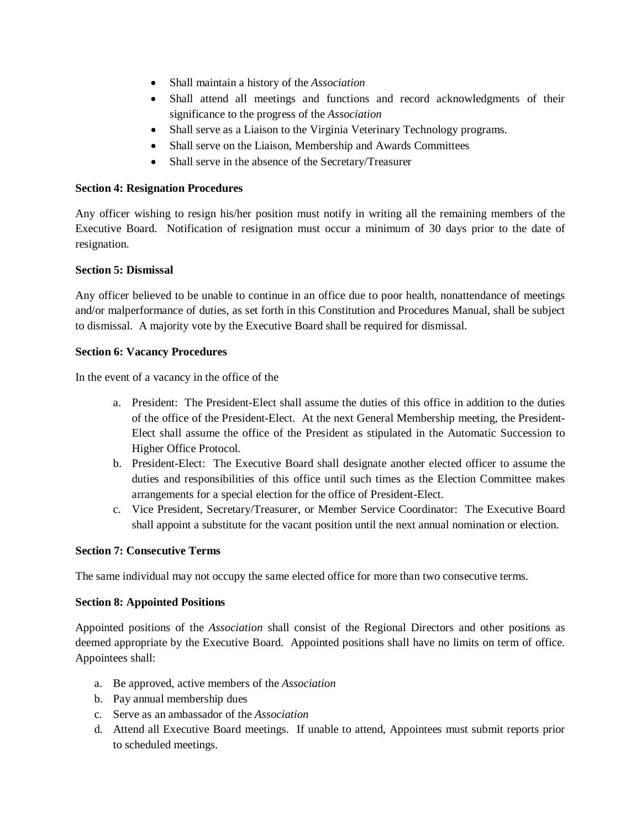- Shall maintain a history of the *Association*
- Shall attend all meetings and functions and record acknowledgments of their significance to the progress of the *Association*
- Shall serve as a Liaison to the Virginia Veterinary Technology programs.
- Shall serve on the Liaison, Membership and Awards Committees
- Shall serve in the absence of the Secretary/Treasurer

# **Section 4: Resignation Procedures**

Any officer wishing to resign his/her position must notify in writing all the remaining members of the Executive Board. Notification of resignation must occur a minimum of 30 days prior to the date of resignation.

# **Section 5: Dismissal**

Any officer believed to be unable to continue in an office due to poor health, nonattendance of meetings and/or malperformance of duties, as set forth in this Constitution and Procedures Manual, shall be subject to dismissal. A majority vote by the Executive Board shall be required for dismissal.

# **Section 6: Vacancy Procedures**

In the event of a vacancy in the office of the

- a. President: The President-Elect shall assume the duties of this office in addition to the duties of the office of the President-Elect. At the next General Membership meeting, the President-Elect shall assume the office of the President as stipulated in the Automatic Succession to Higher Office Protocol.
- b. President-Elect: The Executive Board shall designate another elected officer to assume the duties and responsibilities of this office until such times as the Election Committee makes arrangements for a special election for the office of President-Elect.
- c. Vice President, Secretary/Treasurer, or Member Service Coordinator: The Executive Board shall appoint a substitute for the vacant position until the next annual nomination or election.

# **Section 7: Consecutive Terms**

The same individual may not occupy the same elected office for more than two consecutive terms.

### **Section 8: Appointed Positions**

Appointed positions of the *Association* shall consist of the Regional Directors and other positions as deemed appropriate by the Executive Board. Appointed positions shall have no limits on term of office. Appointees shall:

- a. Be approved, active members of the *Association*
- b. Pay annual membership dues
- c. Serve as an ambassador of the *Association*
- d. Attend all Executive Board meetings. If unable to attend, Appointees must submit reports prior to scheduled meetings.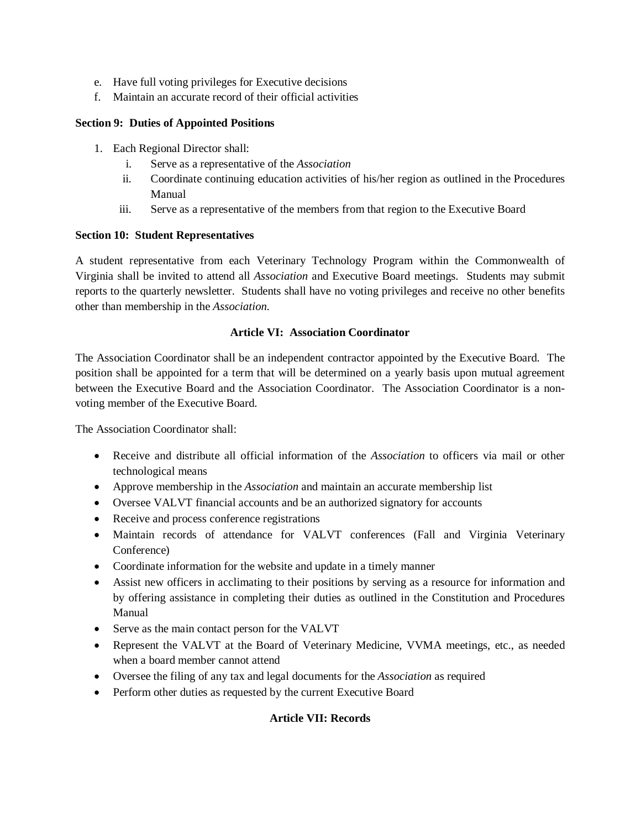- e. Have full voting privileges for Executive decisions
- f. Maintain an accurate record of their official activities

# **Section 9: Duties of Appointed Positions**

- 1. Each Regional Director shall:
	- i. Serve as a representative of the *Association*
	- ii. Coordinate continuing education activities of his/her region as outlined in the Procedures Manual
	- iii. Serve as a representative of the members from that region to the Executive Board

### **Section 10: Student Representatives**

A student representative from each Veterinary Technology Program within the Commonwealth of Virginia shall be invited to attend all *Association* and Executive Board meetings. Students may submit reports to the quarterly newsletter. Students shall have no voting privileges and receive no other benefits other than membership in the *Association.*

# **Article VI: Association Coordinator**

The Association Coordinator shall be an independent contractor appointed by the Executive Board. The position shall be appointed for a term that will be determined on a yearly basis upon mutual agreement between the Executive Board and the Association Coordinator. The Association Coordinator is a nonvoting member of the Executive Board.

The Association Coordinator shall:

- Receive and distribute all official information of the *Association* to officers via mail or other technological means
- Approve membership in the *Association* and maintain an accurate membership list
- Oversee VALVT financial accounts and be an authorized signatory for accounts
- Receive and process conference registrations
- Maintain records of attendance for VALVT conferences (Fall and Virginia Veterinary Conference)
- Coordinate information for the website and update in a timely manner
- Assist new officers in acclimating to their positions by serving as a resource for information and by offering assistance in completing their duties as outlined in the Constitution and Procedures Manual
- Serve as the main contact person for the VALVT
- Represent the VALVT at the Board of Veterinary Medicine, VVMA meetings, etc., as needed when a board member cannot attend
- Oversee the filing of any tax and legal documents for the *Association* as required
- Perform other duties as requested by the current Executive Board

# **Article VII: Records**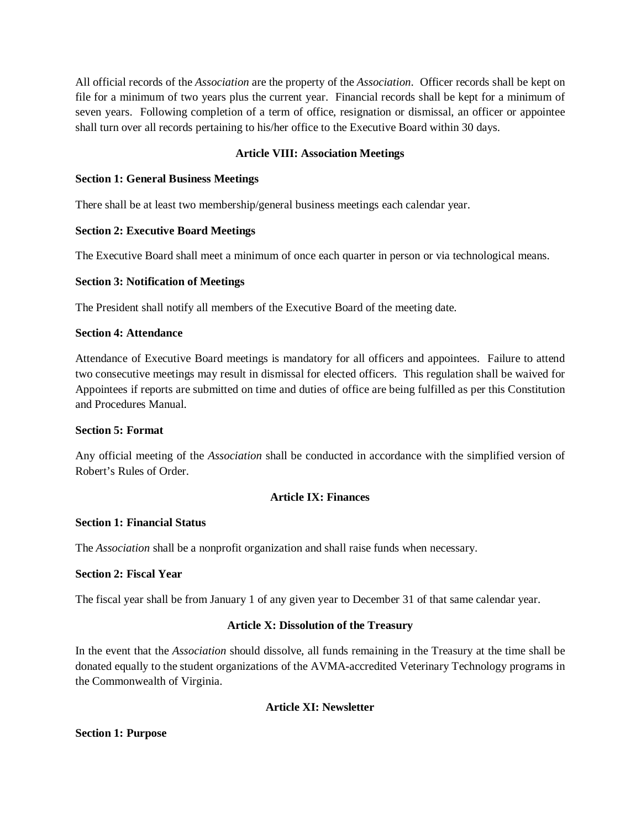All official records of the *Association* are the property of the *Association*. Officer records shall be kept on file for a minimum of two years plus the current year. Financial records shall be kept for a minimum of seven years. Following completion of a term of office, resignation or dismissal, an officer or appointee shall turn over all records pertaining to his/her office to the Executive Board within 30 days.

### **Article VIII: Association Meetings**

### **Section 1: General Business Meetings**

There shall be at least two membership/general business meetings each calendar year.

### **Section 2: Executive Board Meetings**

The Executive Board shall meet a minimum of once each quarter in person or via technological means.

### **Section 3: Notification of Meetings**

The President shall notify all members of the Executive Board of the meeting date.

### **Section 4: Attendance**

Attendance of Executive Board meetings is mandatory for all officers and appointees. Failure to attend two consecutive meetings may result in dismissal for elected officers. This regulation shall be waived for Appointees if reports are submitted on time and duties of office are being fulfilled as per this Constitution and Procedures Manual.

### **Section 5: Format**

Any official meeting of the *Association* shall be conducted in accordance with the simplified version of Robert's Rules of Order.

# **Article IX: Finances**

### **Section 1: Financial Status**

The *Association* shall be a nonprofit organization and shall raise funds when necessary.

### **Section 2: Fiscal Year**

The fiscal year shall be from January 1 of any given year to December 31 of that same calendar year.

### **Article X: Dissolution of the Treasury**

In the event that the *Association* should dissolve, all funds remaining in the Treasury at the time shall be donated equally to the student organizations of the AVMA-accredited Veterinary Technology programs in the Commonwealth of Virginia.

# **Article XI: Newsletter**

### **Section 1: Purpose**